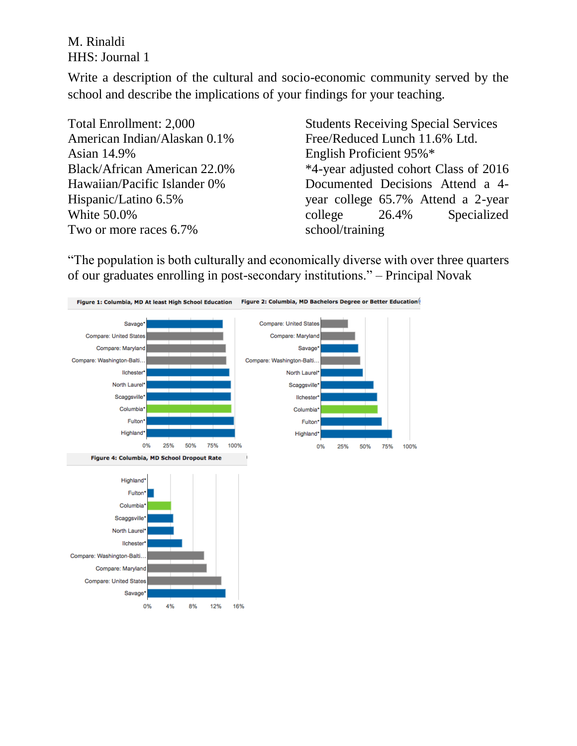M. Rinaldi HHS: Journal 1

Write a description of the cultural and socio-economic community served by the school and describe the implications of your findings for your teaching.

Total Enrollment: 2,000 American Indian/Alaskan 0.1% Asian 14.9% Black/African American 22.0% Hawaiian/Pacific Islander 0% Hispanic/Latino 6.5% White 50.0% Two or more races 6.7%

Students Receiving Special Services Free/Reduced Lunch 11.6% Ltd. English Proficient 95%\* \*4-year adjusted cohort Class of 2016 Documented Decisions Attend a 4 year college 65.7% Attend a 2-year college 26.4% Specialized school/training

"The population is both culturally and economically diverse with over three quarters of our graduates enrolling in post-secondary institutions." – Principal Novak

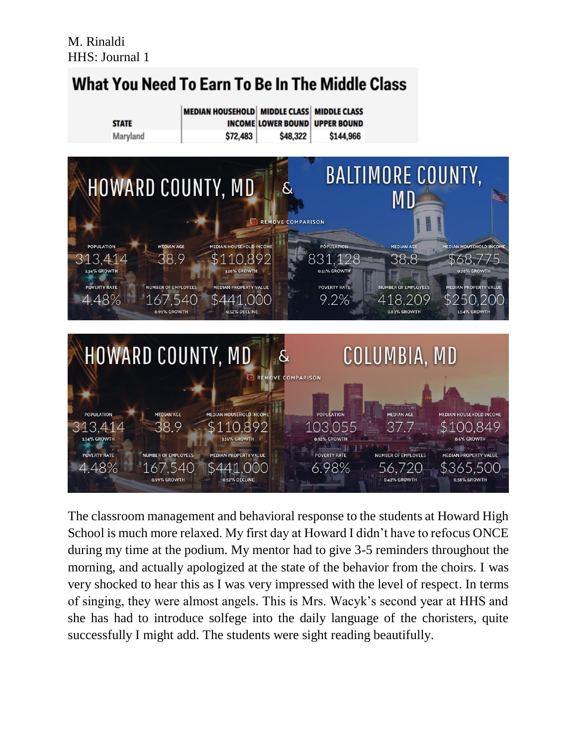

The classroom management and behavioral response to the students at Howard High School is much more relaxed. My first day at Howard I didn't have to refocus ONCE during my time at the podium. My mentor had to give 3-5 reminders throughout the morning, and actually apologized at the state of the behavior from the choirs. I was very shocked to hear this as I was very impressed with the level of respect. In terms of singing, they were almost angels. This is Mrs. Wacyk's second year at HHS and she has had to introduce solfege into the daily language of the choristers, quite successfully I might add. The students were sight reading beautifully.